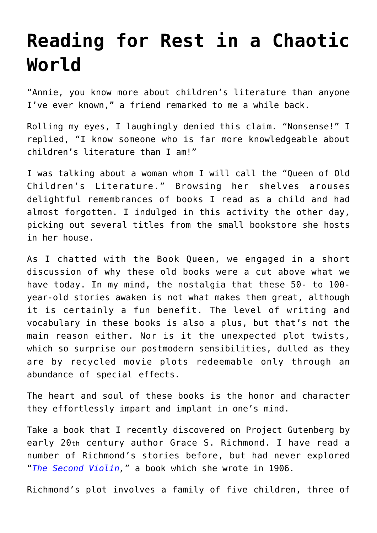# **[Reading for Rest in a Chaotic](https://intellectualtakeout.org/2020/10/reading-for-rest-in-a-chaotic-world/) [World](https://intellectualtakeout.org/2020/10/reading-for-rest-in-a-chaotic-world/)**

"Annie, you know more about children's literature than anyone I've ever known," a friend remarked to me a while back.

Rolling my eyes, I laughingly denied this claim. "Nonsense!" I replied, "I know someone who is far more knowledgeable about children's literature than I am!"

I was talking about a woman whom I will call the "Queen of Old Children's Literature." Browsing her shelves arouses delightful remembrances of books I read as a child and had almost forgotten. I indulged in this activity the other day, picking out several titles from the small bookstore she hosts in her house.

As I chatted with the Book Queen, we engaged in a short discussion of why these old books were a cut above what we have today. In my mind, the nostalgia that these 50- to 100 year-old stories awaken is not what makes them great, although it is certainly a fun benefit. The level of writing and vocabulary in these books is also a plus, but that's not the main reason either. Nor is it the unexpected plot twists, which so surprise our postmodern sensibilities, dulled as they are by recycled movie plots redeemable only through an abundance of special effects.

The heart and soul of these books is the honor and character they effortlessly impart and implant in one's mind.

Take a book that I recently discovered on Project Gutenberg by early 20th century author Grace S. Richmond. I have read a number of Richmond's stories before, but had never explored "*[The Second Violin,](http://www.gutenberg.org/files/13209/13209-h/13209-h.htm#BOOK_I)*" a book which she wrote in 1906.

Richmond's plot involves a family of five children, three of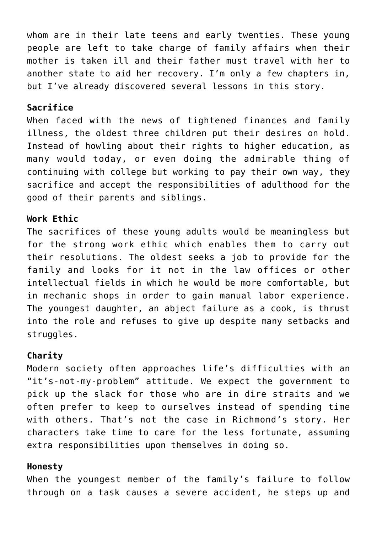whom are in their late teens and early twenties. These young people are left to take charge of family affairs when their mother is taken ill and their father must travel with her to another state to aid her recovery. I'm only a few chapters in, but I've already discovered several lessons in this story.

### **Sacrifice**

When faced with the news of tightened finances and family illness, the oldest three children put their desires on hold. Instead of howling about their rights to higher education, as many would today, or even doing the admirable thing of continuing with college but working to pay their own way, they sacrifice and accept the responsibilities of adulthood for the good of their parents and siblings.

## **Work Ethic**

The sacrifices of these young adults would be meaningless but for the strong work ethic which enables them to carry out their resolutions. The oldest seeks a job to provide for the family and looks for it not in the law offices or other intellectual fields in which he would be more comfortable, but in mechanic shops in order to gain manual labor experience. The youngest daughter, an abject failure as a cook, is thrust into the role and refuses to give up despite many setbacks and struggles.

## **Charity**

Modern society often approaches life's difficulties with an "it's-not-my-problem" attitude. We expect the government to pick up the slack for those who are in dire straits and we often prefer to keep to ourselves instead of spending time with others. That's not the case in Richmond's story. Her characters take time to care for the less fortunate, assuming extra responsibilities upon themselves in doing so.

#### **Honesty**

When the youngest member of the family's failure to follow through on a task causes a severe accident, he steps up and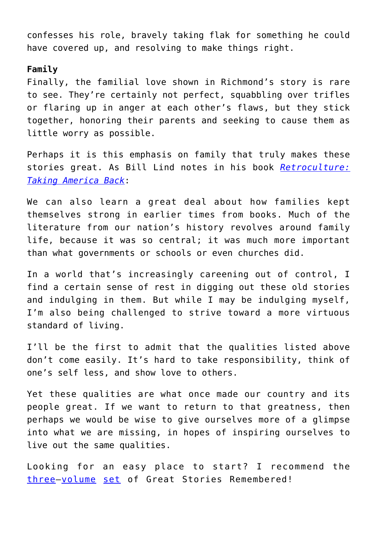confesses his role, bravely taking flak for something he could have covered up, and resolving to make things right.

#### **Family**

Finally, the familial love shown in Richmond's story is rare to see. They're certainly not perfect, squabbling over trifles or flaring up in anger at each other's flaws, but they stick together, honoring their parents and seeking to cause them as little worry as possible.

Perhaps it is this emphasis on family that truly makes these stories great. As Bill Lind notes in his book *[Retroculture:](https://www.amazon.com/gp/product/1912975300/ref=as_li_qf_asin_il_tl?ie=UTF8&tag=intelltakeo0d-20&creative=9325&linkCode=as2&creativeASIN=1912975300&linkId=45796a10e2d56ba7b6a833240b51d207) [Taking America Back](https://www.amazon.com/gp/product/1912975300/ref=as_li_qf_asin_il_tl?ie=UTF8&tag=intelltakeo0d-20&creative=9325&linkCode=as2&creativeASIN=1912975300&linkId=45796a10e2d56ba7b6a833240b51d207)*:

We can also learn a great deal about how families kept themselves strong in earlier times from books. Much of the literature from our nation's history revolves around family life, because it was so central; it was much more important than what governments or schools or even churches did.

In a world that's increasingly careening out of control, I find a certain sense of rest in digging out these old stories and indulging in them. But while I may be indulging myself, I'm also being challenged to strive toward a more virtuous standard of living.

I'll be the first to admit that the qualities listed above don't come easily. It's hard to take responsibility, think of one's self less, and show love to others.

Yet these qualities are what once made our country and its people great. If we want to return to that greatness, then perhaps we would be wise to give ourselves more of a glimpse into what we are missing, in hopes of inspiring ourselves to live out the same qualities.

Looking for an easy place to start? I recommend the [three](https://www.amazon.com/gp/product/1561794597/ref=as_li_qf_asin_il_tl?ie=UTF8&tag=intelltakeo0d-20&creative=9325&linkCode=as2&creativeASIN=1561794597&linkId=89c1d58a09165c3d44eab28f57d26791)–[volume](https://www.amazon.com/gp/product/1561796344/ref=as_li_qf_asin_il_tl?ie=UTF8&tag=intelltakeo0d-20&creative=9325&linkCode=as2&creativeASIN=1561796344&linkId=1fb49e1ad988710635f2686f9d364bb7) [set](https://www.amazon.com/gp/product/1561798355/ref=as_li_qf_asin_il_tl?ie=UTF8&tag=intelltakeo0d-20&creative=9325&linkCode=as2&creativeASIN=1561798355&linkId=000bc90795477f3164bed4dd3a120b2b) of Great Stories Remembered!